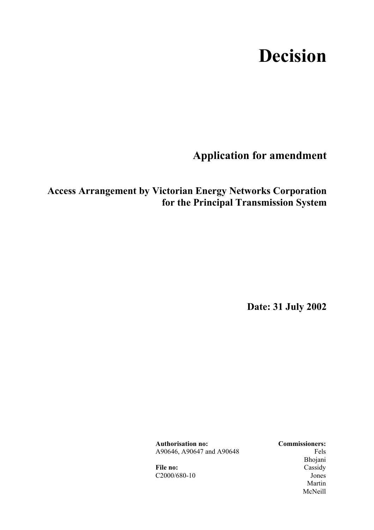# **Decision**

**Application for amendment** 

## **Access Arrangement by Victorian Energy Networks Corporation for the Principal Transmission System**

**Date: 31 July 2002** 

**Authorisation no: Commissioners:** A90646, A90647 and A90648 Fels

 Bhojani File no: Cassidy C2000/680-10 Jones Martin **Martin** McNeill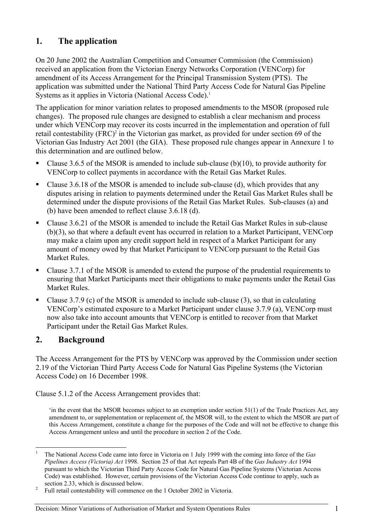## **1. The application**

On 20 June 2002 the Australian Competition and Consumer Commission (the Commission) received an application from the Victorian Energy Networks Corporation (VENCorp) for amendment of its Access Arrangement for the Principal Transmission System (PTS). The application was submitted under the National Third Party Access Code for Natural Gas Pipeline Systems as it applies in Victoria (National Access Code).<sup>1</sup>

The application for minor variation relates to proposed amendments to the MSOR (proposed rule changes). The proposed rule changes are designed to establish a clear mechanism and process under which VENCorp may recover its costs incurred in the implementation and operation of full retail contestability (FRC)<sup>2</sup> in the Victorian gas market, as provided for under section 69 of the Victorian Gas Industry Act 2001 (the GIA). These proposed rule changes appear in Annexure 1 to this determination and are outlined below.

- Clause 3.6.5 of the MSOR is amended to include sub-clause (b)(10), to provide authority for VENCorp to collect payments in accordance with the Retail Gas Market Rules.
- Clause 3.6.18 of the MSOR is amended to include sub-clause (d), which provides that any disputes arising in relation to payments determined under the Retail Gas Market Rules shall be determined under the dispute provisions of the Retail Gas Market Rules. Sub-clauses (a) and (b) have been amended to reflect clause 3.6.18 (d).
- Clause 3.6.21 of the MSOR is amended to include the Retail Gas Market Rules in sub-clause (b)(3), so that where a default event has occurred in relation to a Market Participant, VENCorp may make a claim upon any credit support held in respect of a Market Participant for any amount of money owed by that Market Participant to VENCorp pursuant to the Retail Gas Market Rules.
- Clause 3.7.1 of the MSOR is amended to extend the purpose of the prudential requirements to ensuring that Market Participants meet their obligations to make payments under the Retail Gas Market Rules.
- Clause 3.7.9 (c) of the MSOR is amended to include sub-clause  $(3)$ , so that in calculating VENCorp's estimated exposure to a Market Participant under clause 3.7.9 (a), VENCorp must now also take into account amounts that VENCorp is entitled to recover from that Market Participant under the Retail Gas Market Rules.

## **2. Background**

The Access Arrangement for the PTS by VENCorp was approved by the Commission under section 2.19 of the Victorian Third Party Access Code for Natural Gas Pipeline Systems (the Victorian Access Code) on 16 December 1998.

Clause 5.1.2 of the Access Arrangement provides that:

'in the event that the MSOR becomes subject to an exemption under section 51(1) of the Trade Practices Act, any amendment to, or supplementation or replacement of, the MSOR will, to the extent to which the MSOR are part of this Access Arrangement, constitute a change for the purposes of the Code and will not be effective to change this Access Arrangement unless and until the procedure in section 2 of the Code.

 $\mathbf{1}$ <sup>1</sup> The National Access Code came into force in Victoria on 1 July 1999 with the coming into force of the *Gas Pipelines Access (Victoria) Act* 1998. Section 25 of that Act repeals Part 4B of the *Gas Industry Act* 1994 pursuant to which the Victorian Third Party Access Code for Natural Gas Pipeline Systems (Victorian Access Code) was established. However, certain provisions of the Victorian Access Code continue to apply, such as section 2.33, which is discussed below.<br><sup>2</sup> Eull rateil contacts bility will commance

Full retail contestability will commence on the 1 October 2002 in Victoria.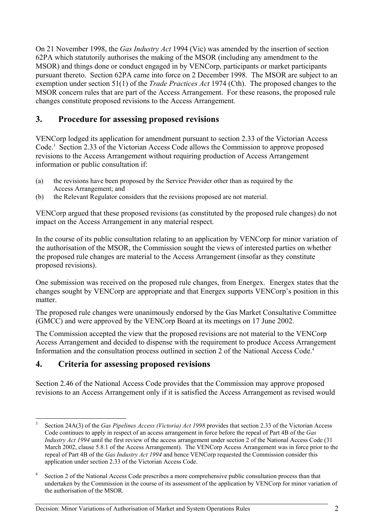On 21 November 1998, the *Gas Industry Act* 1994 (Vic) was amended by the insertion of section 62PA which statutorily authorises the making of the MSOR (including any amendment to the MSOR) and things done or conduct engaged in by VENCorp, participants or market participants pursuant thereto. Section 62PA came into force on 2 December 1998. The MSOR are subject to an exemption under section 51(1) of the *Trade Practices Act* 1974 (Cth). The proposed changes to the MSOR concern rules that are part of the Access Arrangement. For these reasons, the proposed rule changes constitute proposed revisions to the Access Arrangement.

## **3. Procedure for assessing proposed revisions**

VENCorp lodged its application for amendment pursuant to section 2.33 of the Victorian Access Code.<sup>3</sup> Section 2.33 of the Victorian Access Code allows the Commission to approve proposed revisions to the Access Arrangement without requiring production of Access Arrangement information or public consultation if:

- (a) the revisions have been proposed by the Service Provider other than as required by the Access Arrangement; and
- (b) the Relevant Regulator considers that the revisions proposed are not material.

VENCorp argued that these proposed revisions (as constituted by the proposed rule changes) do not impact on the Access Arrangement in any material respect.

In the course of its public consultation relating to an application by VENCorp for minor variation of the authorisation of the MSOR, the Commission sought the views of interested parties on whether the proposed rule changes are material to the Access Arrangement (insofar as they constitute proposed revisions).

One submission was received on the proposed rule changes, from Energex. Energex states that the changes sought by VENCorp are appropriate and that Energex supports VENCorp's position in this matter.

The proposed rule changes were unanimously endorsed by the Gas Market Consultative Committee (GMCC) and were approved by the VENCorp Board at its meetings on 17 June 2002.

The Commission accepted the view that the proposed revisions are not material to the VENCorp Access Arrangement and decided to dispense with the requirement to produce Access Arrangement Information and the consultation process outlined in section 2 of the National Access Code.4

## **4. Criteria for assessing proposed revisions**

 $\overline{a}$ 

Section 2.46 of the National Access Code provides that the Commission may approve proposed revisions to an Access Arrangement only if it is satisfied the Access Arrangement as revised would

Decision: Minor Variations of Authorisation of Market and System Operations Rules 2

<sup>3</sup> Section 24A(3) of the *Gas Pipelines Access (Victoria) Act 1998* provides that section 2.33 of the Victorian Access Code continues to apply in respect of an access arrangement in force before the repeal of Part 4B of the *Gas Industry Act 1994* until the first review of the access arrangement under section 2 of the National Access Code (31) March 2002, clause 5.8.1 of the Access Arrangement). The VENCorp Access Arrangement was in force prior to the repeal of Part 4B of the *Gas Industry Act 1994* and hence VENCorp requested the Commission consider this application under section 2.33 of the Victorian Access Code.

<sup>4</sup> Section 2 of the National Access Code prescribes a more comprehensive public consultation process than that undertaken by the Commission in the course of its assessment of the application by VENCorp for minor variation of the authorisation of the MSOR.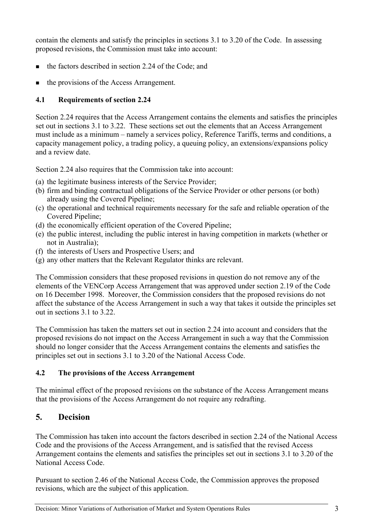contain the elements and satisfy the principles in sections 3.1 to 3.20 of the Code. In assessing proposed revisions, the Commission must take into account:

- the factors described in section 2.24 of the Code; and
- the provisions of the Access Arrangement.

## **4.1 Requirements of section 2.24**

Section 2.24 requires that the Access Arrangement contains the elements and satisfies the principles set out in sections 3.1 to 3.22. These sections set out the elements that an Access Arrangement must include as a minimum – namely a services policy, Reference Tariffs, terms and conditions, a capacity management policy, a trading policy, a queuing policy, an extensions/expansions policy and a review date.

Section 2.24 also requires that the Commission take into account:

- (a) the legitimate business interests of the Service Provider;
- (b) firm and binding contractual obligations of the Service Provider or other persons (or both) already using the Covered Pipeline;
- (c) the operational and technical requirements necessary for the safe and reliable operation of the Covered Pipeline;
- (d) the economically efficient operation of the Covered Pipeline;
- (e) the public interest, including the public interest in having competition in markets (whether or not in Australia);
- (f) the interests of Users and Prospective Users; and
- (g) any other matters that the Relevant Regulator thinks are relevant.

The Commission considers that these proposed revisions in question do not remove any of the elements of the VENCorp Access Arrangement that was approved under section 2.19 of the Code on 16 December 1998. Moreover, the Commission considers that the proposed revisions do not affect the substance of the Access Arrangement in such a way that takes it outside the principles set out in sections 3.1 to 3.22.

The Commission has taken the matters set out in section 2.24 into account and considers that the proposed revisions do not impact on the Access Arrangement in such a way that the Commission should no longer consider that the Access Arrangement contains the elements and satisfies the principles set out in sections 3.1 to 3.20 of the National Access Code.

### **4.2 The provisions of the Access Arrangement**

The minimal effect of the proposed revisions on the substance of the Access Arrangement means that the provisions of the Access Arrangement do not require any redrafting.

## **5. Decision**

The Commission has taken into account the factors described in section 2.24 of the National Access Code and the provisions of the Access Arrangement, and is satisfied that the revised Access Arrangement contains the elements and satisfies the principles set out in sections 3.1 to 3.20 of the National Access Code.

Pursuant to section 2.46 of the National Access Code, the Commission approves the proposed revisions, which are the subject of this application.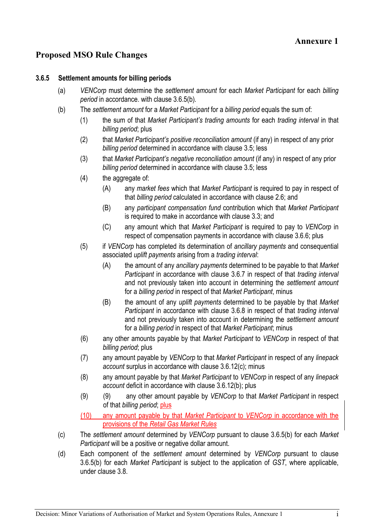## **Proposed MSO Rule Changes**

#### **3.6.5 Settlement amounts for billing periods**

- (a) *VENCorp* must determine the *settlement amount* for each *Market Participant* for each *billing period* in accordance. with clause 3.6.5(b)*.*
- (b) The *settlement amount* for a *Market Participant* for a *billing period* equals the sum of:
	- (1) the sum of that *Market Participant's trading amounts* for each *trading interval* in that *billing period*; plus
	- (2) that *Market Participant's positive reconciliation amount* (if any) in respect of any prior *billing period* determined in accordance with clause 3.5; less
	- (3) that *Market Participant's negative reconciliation amount* (if any) in respect of any prior *billing period* determined in accordance with clause 3.5; less
	- (4) the aggregate of:
		- (A) any *market fees* which that *Market Participant* is required to pay in respect of that *billing period* calculated in accordance with clause 2.6; and
		- (B) any *participant compensation fund* contribution which that *Market Participant*  is required to make in accordance with clause 3.3; and
		- (C) any amount which that *Market Participant* is required to pay to *VENCorp* in respect of compensation payments in accordance with clause 3.6.6; plus
	- (5) if *VENCorp* has completed its determination of *ancillary payments* and consequential associated *uplift payments* arising from a *trading interval*:
		- (A) the amount of any *ancillary payments* determined to be payable to that *Market Participant* in accordance with clause 3.6.7 in respect of that *trading interval*  and not previously taken into account in determining the *settlement amount* for a *billing period* in respect of that *Market Participant*, minus
		- (B) the amount of any *uplift payments* determined to be payable by that *Market Participant* in accordance with clause 3.6.8 in respect of that *trading interval*  and not previously taken into account in determining the *settlement amount* for a *billing period* in respect of that *Market Participant*; minus
	- (6) any other amounts payable by that *Market Participant* to *VENCorp* in respect of that *billing period*; plus
	- (7) any amount payable by *VENCorp* to that *Market Participant* in respect of any *linepack account* surplus in accordance with clause 3.6.12(c); minus
	- (8) any amount payable by that *Market Participant* to *VENCorp* in respect of any *linepack account* deficit in accordance with clause 3.6.12(b); plus
	- (9) (9) any other amount payable by *VENCorp* to that *Market Participant* in respect of that *billing period*; plus
	- (10) any amount payable by that *Market Participant* to *VENCorp* in accordance with the provisions of the *Retail Gas Market Rules*
- (c) The *settlement amount* determined by *VENCorp* pursuant to clause 3.6.5(b) for each *Market Participant* will be a positive or negative dollar amount.
- (d) Each component of the *settlement amount* determined by *VENCorp* pursuant to clause 3.6.5(b) for each *Market Participant* is subject to the application of *GST*, where applicable, under clause 3.8.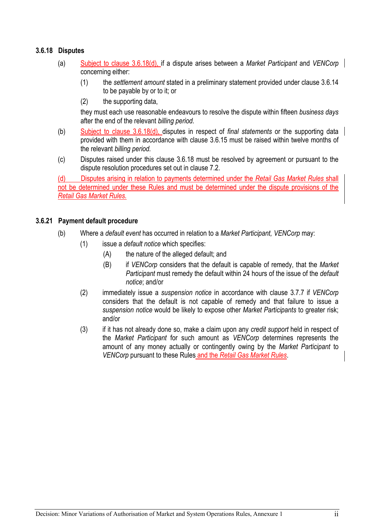### **3.6.18 Disputes**

- (a) Subject to clause 3.6.18(d), if a dispute arises between a *Market Participant* and *VENCorp* concerning either:
	- (1) the *settlement amount* stated in a preliminary statement provided under clause 3.6.14 to be payable by or to it; or
	- (2) the supporting data,

they must each use reasonable endeavours to resolve the dispute within fifteen *business days* after the end of the relevant *billing period.*

- (b) Subject to clause 3.6.18(d), disputes in respect of *final statements* or the supporting data provided with them in accordance with clause 3.6.15 must be raised within twelve months of the relevant *billing period.*
- (c) Disputes raised under this clause 3.6.18 must be resolved by agreement or pursuant to the dispute resolution procedures set out in clause 7.2.

(d) Disputes arising in relation to payments determined under the *Retail Gas Market Rules* shall not be determined under these Rules and must be determined under the dispute provisions of the *Retail Gas Market Rules.*

#### **3.6.21 Payment default procedure**

- (b) Where a *default event* has occurred in relation to a *Market Participant, VENCorp* may:
	- (1) issue a *default notice* which specifies:
		- (A) the nature of the alleged default; and
		- (B) if *VENCorp* considers that the default is capable of remedy, that the *Market Participant* must remedy the default within 24 hours of the issue of the *default notice*; and/or
	- (2) immediately issue a *suspension notice* in accordance with clause 3.7.7 if *VENCorp*  considers that the default is not capable of remedy and that failure to issue a *suspension notice* would be likely to expose other *Market Participants* to greater risk; and/or
	- (3) if it has not already done so, make a claim upon any *credit support* held in respect of the *Market Participant* for such amount as *VENCorp* determines represents the amount of any money actually or contingently owing by the *Market Participant* to *VENCorp* pursuant to these Rules and the *Retail Gas Market Rules*.